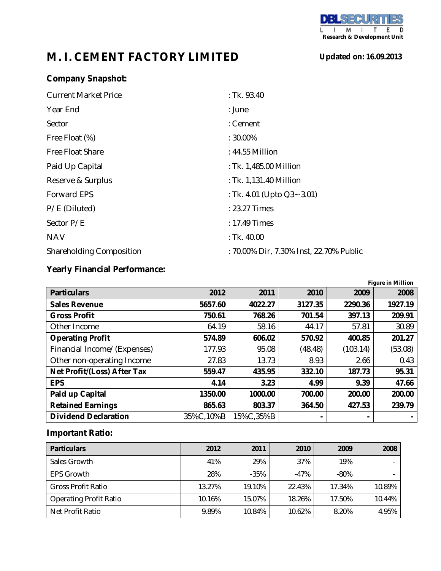# **M. I. CEMENT FACTORY LIMITED**

**Updated on: 16.09.2013**

## **Company Snapshot:**

| <b>Current Market Price</b>     | : Tk. 93.40                             |
|---------------------------------|-----------------------------------------|
| Year End                        | : June                                  |
| Sector                          | : Cement                                |
| Free Float (%)                  | $: 30.00\%$                             |
| <b>Free Float Share</b>         | : 44.55 Million                         |
| Paid Up Capital                 | : Tk. 1,485.00 Million                  |
| Reserve & Surplus               | : Tk. 1,131.40 Million                  |
| <b>Forward EPS</b>              | : Tk. 4.01 (Upto $Q3 - 3.01$ )          |
| P/E (Diluted)                   | : 23.27 Times                           |
| Sector P/E                      | : 17.49 Times                           |
| <b>NAV</b>                      | : $Tk.40.00$                            |
| <b>Shareholding Composition</b> | : 70.00% Dir, 7.30% Inst, 22.70% Public |

### **Yearly Financial Performance:**

| <b>Figure in Million</b>    |           |           |                |          |         |
|-----------------------------|-----------|-----------|----------------|----------|---------|
| <b>Particulars</b>          | 2012      | 2011      | 2010           | 2009     | 2008    |
| <b>Sales Revenue</b>        | 5657.60   | 4022.27   | 3127.35        | 2290.36  | 1927.19 |
| <b>Gross Profit</b>         | 750.61    | 768.26    | 701.54         | 397.13   | 209.91  |
| Other Income                | 64.19     | 58.16     | 44.17          | 57.81    | 30.89   |
| <b>Operating Profit</b>     | 574.89    | 606.02    | 570.92         | 400.85   | 201.27  |
| Financial Income/(Expenses) | 177.93    | 95.08     | (48.48)        | (103.14) | (53.08) |
| Other non-operating Income  | 27.83     | 13.73     | 8.93           | 2.66     | 0.43    |
| Net Profit/(Loss) After Tax | 559.47    | 435.95    | 332.10         | 187.73   | 95.31   |
| <b>EPS</b>                  | 4.14      | 3.23      | 4.99           | 9.39     | 47.66   |
| Paid up Capital             | 1350.00   | 1000.00   | 700.00         | 200.00   | 200.00  |
| <b>Retained Earnings</b>    | 865.63    | 803.37    | 364.50         | 427.53   | 239.79  |
| <b>Dividend Declaration</b> | 35%C,10%B | 15%C,35%B | $\blacksquare$ |          |         |

#### **Important Ratio:**

| <b>Particulars</b>            | 2012   | 2011   | 2010   | 2009    | 2008   |
|-------------------------------|--------|--------|--------|---------|--------|
| Sales Growth                  | 41%    | 29%    | 37%    | 19%     |        |
| <b>EPS Growth</b>             | 28%    | $-35%$ | $-47%$ | $-80\%$ |        |
| <b>Gross Profit Ratio</b>     | 13.27% | 19.10% | 22.43% | 17.34%  | 10.89% |
| <b>Operating Profit Ratio</b> | 10.16% | 15.07% | 18.26% | 17.50%  | 10.44% |
| Net Profit Ratio              | 9.89%  | 10.84% | 10.62% | 8.20%   | 4.95%  |